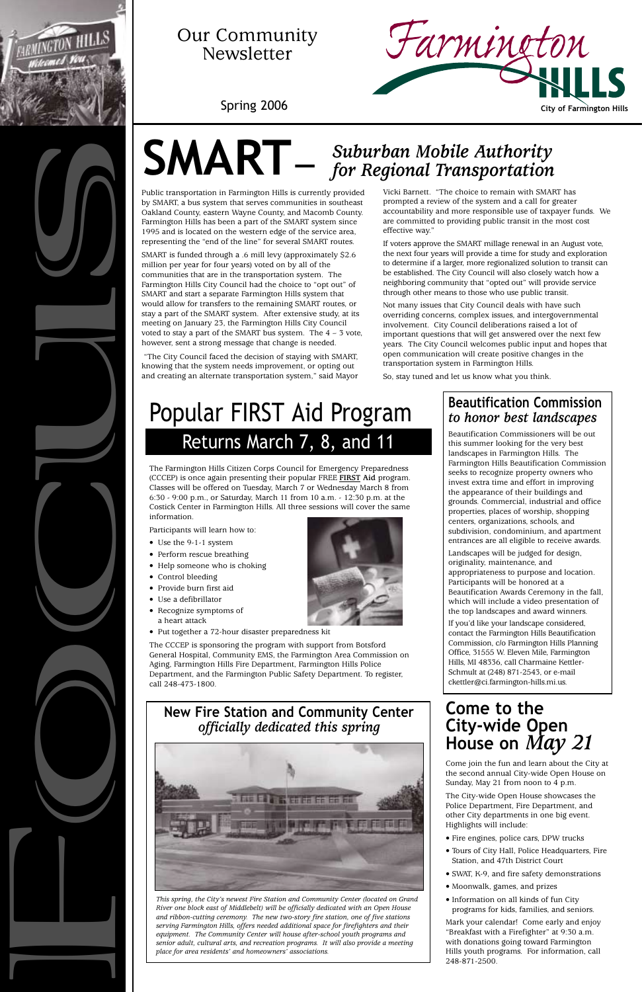Public transportation in Farmington Hills is currently provided by SMART, a bus system that serves communities in southeast Oakland County, eastern Wayne County, and Macomb County. Farmington Hills has been a part of the SMART system since 1995 and is located on the western edge of the service area, representing the "end of the line" for several SMART routes.

SMART is funded through a .6 mill levy (approximately \$2.6 million per year for four years) voted on by all of the communities that are in the transportation system. The Farmington Hills City Council had the choice to "opt out" of SMART and start a separate Farmington Hills system that would allow for transfers to the remaining SMART routes, or stay a part of the SMART system. After extensive study, at its meeting on January 23, the Farmington Hills City Council voted to stay a part of the SMART bus system. The  $4 - 3$  vote, however, sent a strong message that change is needed.

"The City Council faced the decision of staying with SMART, knowing that the system needs improvement, or opting out and creating an alternate transportation system," said Mayor

# Returns March 7, 8, and 11 Popular FIRST Aid Program

# **New Fire Station and Community Center**  *officially dedicated this spring*

*This spring, the City's newest Fire Station and Community Center (located on Grand River one block east of Middlebelt) will be officially dedicated with an Open House and ribbon-cutting ceremony. The new two-story fire station, one of five stations serving Farmington Hills, offers needed additional space for firefighters and their equipment. The Community Center will house after-school youth programs and senior adult, cultural arts, and recreation programs. It will also provide a meeting place for area residents' and homeowners' associations.*

# **SMART—**



# Our Community Newsletter

Farmington **Spring 2006 City of Farmington Hills** 

The Farmington Hills Citizen Corps Council for Emergency Preparedness (CCCEP) is once again presenting their popular FREE **FIRST Aid** program. Classes will be offered on Tuesday, March 7 or Wednesday March 8 from 6:30 - 9:00 p.m., or Saturday, March 11 from 10 a.m. - 12:30 p.m. at the Costick Center in Farmington Hills. All three sessions will cover the same information.

Participants will learn how to:

- Use the 9-1-1 system
- Perform rescue breathing
- Help someone who is choking
- Control bleeding
- Provide burn first aid
- Use a defibrillator
- Recognize symptoms of a heart attack
- Put together a 72-hour disaster preparedness kit

The CCCEP is sponsoring the program with support from Botsford General Hospital, Community EMS, the Farmington Area Commission on Aging, Farmington Hills Fire Department, Farmington Hills Police Department, and the Farmington Public Safety Department. To register, call 248-473-1800.

# **Come to the City-wide Open House on** *May 21*



Come join the fun and learn about the City at the second annual City-wide Open House on Sunday, May 21 from noon to 4 p.m.

The City-wide Open House showcases the Police Department, Fire Department, and other City departments in one big event. Highlights will include:

- Fire engines, police cars, DPW trucks
- Tours of City Hall, Police Headquarters, Fire Station, and 47th District Court
- SWAT, K-9, and fire safety demonstrations
- Moonwalk, games, and prizes
- Information on all kinds of fun City programs for kids, families, and seniors.

Mark your calendar! Come early and enjoy "Breakfast with a Firefighter" at 9:30 a.m. with donations going toward Farmington Hills youth programs. For information, call 248-871-2500.

# *Suburban Mobile Authority for Regional Transportation*





# **Beautification Commission**  *to honor best landscapes*

Beautification Commissioners will be out this summer looking for the very best landscapes in Farmington Hills. The Farmington Hills Beautification Commission seeks to recognize property owners who invest extra time and effort in improving the appearance of their buildings and grounds. Commercial, industrial and office properties, places of worship, shopping centers, organizations, schools, and subdivision, condominium, and apartment entrances are all eligible to receive awards.

Landscapes will be judged for design, originality, maintenance, and appropriateness to purpose and location. Participants will be honored at a Beautification Awards Ceremony in the fall, which will include a video presentation of the top landscapes and award winners.

If you'd like your landscape considered, contact the Farmington Hills Beautification Commission, c/o Farmington Hills Planning Office, 31555 W. Eleven Mile, Farmington Hills, MI 48336, call Charmaine Kettler-Schmult at (248) 871-2543, or e-mail ckettler@ci.farmington-hills.mi.us.

Vicki Barnett. "The choice to remain with SMART has prompted a review of the system and a call for greater accountability and more responsible use of taxpayer funds. We are committed to providing public transit in the most cost effective way."

If voters approve the SMART millage renewal in an August vote, the next four years will provide a time for study and exploration to determine if a larger, more regionalized solution to transit can be established. The City Council will also closely watch how a neighboring community that "opted out" will provide service through other means to those who use public transit.

Not many issues that City Council deals with have such overriding concerns, complex issues, and intergovernmental involvement. City Council deliberations raised a lot of important questions that will get answered over the next few years. The City Council welcomes public input and hopes that open communication will create positive changes in the transportation system in Farmington Hills.

So, stay tuned and let us know what you think.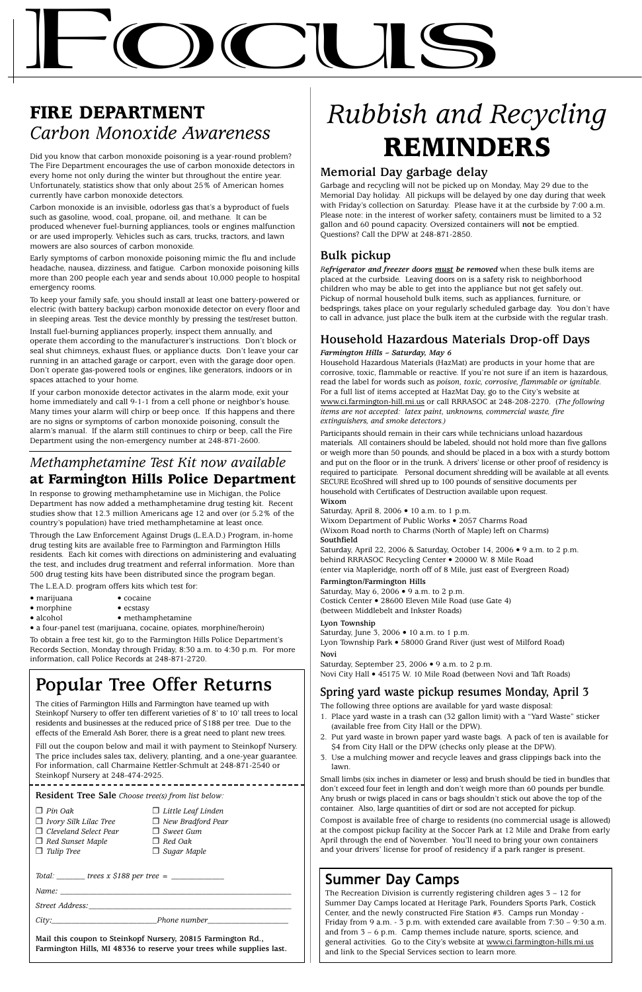# **Focus**

### **Memorial Day garbage delay**

Garbage and recycling will not be picked up on Monday, May 29 due to the Memorial Day holiday. All pickups will be delayed by one day during that week with Friday's collection on Saturday. Please have it at the curbside by 7:00 a.m. Please note: in the interest of worker safety, containers must be limited to a 32 gallon and 60 pound capacity. Oversized containers will **not** be emptied. Questions? Call the DPW at 248-871-2850.

# **Bulk pickup**

*Refrigerator and freezer doors must be removed* when these bulk items are placed at the curbside. Leaving doors on is a safety risk to neighborhood children who may be able to get into the appliance but not get safely out. Pickup of normal household bulk items, such as appliances, furniture, or bedsprings, takes place on your regularly scheduled garbage day. You don't have to call in advance, just place the bulk item at the curbside with the regular trash.

# **Household Hazardous Materials Drop-off Days**

### *Farmington Hills – Saturday, May 6*

Household Hazardous Materials (HazMat) are products in your home that are corrosive, toxic, flammable or reactive. If you're not sure if an item is hazardous, read the label for words such as *poison, toxic, corrosive, flammable or ignitable*. For a full list of items accepted at HazMat Day, go to the City's website at www.ci.farmington-hill.mi.us or call RRRASOC at 248-208-2270. (*The following items are not accepted: latex paint, unknowns, commercial waste, fire extinguishers, and smoke detectors.)*

Participants should remain in their cars while technicians unload hazardous materials. All containers should be labeled, should not hold more than five gallons or weigh more than 50 pounds, and should be placed in a box with a sturdy bottom and put on the floor or in the trunk. A drivers' license or other proof of residency is required to participate. Personal document shredding will be available at all events. SECURE EcoShred will shred up to 100 pounds of sensitive documents per household with Certificates of Destruction available upon request. **Wixom**

Saturday, April 8, 2006 • 10 a.m. to 1 p.m.

Wixom Department of Public Works • 2057 Charms Road (Wixom Road north to Charms (North of Maple) left on Charms) **Southfield**

Saturday, April 22, 2006 & Saturday, October 14, 2006 • 9 a.m. to 2 p.m. behind RRRASOC Recycling Center • 20000 W. 8 Mile Road (enter via Mapleridge, north off of 8 Mile, just east of Evergreen Road)

**Farmington/Farmington Hills**

Saturday, May 6, 2006 • 9 a.m. to 2 p.m. Costick Center • 28600 Eleven Mile Road (use Gate 4) (between Middlebelt and Inkster Roads)

**Lyon Township**

Saturday, June 3, 2006 • 10 a.m. to 1 p.m.

Lyon Township Park • 58000 Grand River (just west of Milford Road) **Novi**

Saturday, September 23, 2006  $\bullet$  9 a.m. to 2 p.m.

### Novi City Hall • 45175 W. 10 Mile Road (between Novi and Taft Roads)

# **Spring yard waste pickup resumes Monday, April 3**

The following three options are available for yard waste disposal:

1. Place yard waste in a trash can (32 gallon limit) with a "Yard Waste" sticker (available free from City Hall or the DPW).

- 
- 2. Put yard waste in brown paper yard waste bags. A pack of ten is available for \$4 from City Hall or the DPW (checks only please at the DPW).
- 3. Use a mulching mower and recycle leaves and grass clippings back into the lawn.
- marijuana cocaine
- morphine ecstasy
- alcohol methamphetamine
- a four-panel test (marijuana, cocaine, opiates, morphine/heroin)

Small limbs (six inches in diameter or less) and brush should be tied in bundles that don't exceed four feet in length and don't weigh more than 60 pounds per bundle. Any brush or twigs placed in cans or bags shouldn't stick out above the top of the container. Also, large quantities of dirt or sod are not accepted for pickup.

Compost is available free of charge to residents (no commercial usage is allowed) at the compost pickup facility at the Soccer Park at 12 Mile and Drake from early April through the end of November. You'll need to bring your own containers and your drivers' license for proof of residency if a park ranger is present.

# *Rubbish and Recycling* **REMINDERS**

# **FIRE DEPARTMENT** *Carbon Monoxide Awareness*

Did you know that carbon monoxide poisoning is a year-round problem? The Fire Department encourages the use of carbon monoxide detectors in every home not only during the winter but throughout the entire year. Unfortunately, statistics show that only about 25% of American homes currently have carbon monoxide detectors.

> The Recreation Division is currently registering children ages  $3 - 12$  for Summer Day Camps located at Heritage Park, Founders Sports Park, Costick Center, and the newly constructed Fire Station #3. Camps run Monday - Friday from 9 a.m. - 3 p.m. with extended care available from 7:30 – 9:30 a.m. and from 3 – 6 p.m. Camp themes include nature, sports, science, and general activities. Go to the City's website at www.ci.farmington-hills.mi.us and link to the Special Services section to learn more.

Carbon monoxide is an invisible, odorless gas that's a byproduct of fuels such as gasoline, wood, coal, propane, oil, and methane. It can be produced whenever fuel-burning appliances, tools or engines malfunction or are used improperly. Vehicles such as cars, trucks, tractors, and lawn mowers are also sources of carbon monoxide.

Early symptoms of carbon monoxide poisoning mimic the flu and include headache, nausea, dizziness, and fatigue. Carbon monoxide poisoning kills more than 200 people each year and sends about 10,000 people to hospital emergency rooms.

To keep your family safe, you should install at least one battery-powered or electric (with battery backup) carbon monoxide detector on every floor and in sleeping areas. Test the device monthly by pressing the test/reset button.

Install fuel-burning appliances properly, inspect them annually, and operate them according to the manufacturer's instructions. Don't block or seal shut chimneys, exhaust flues, or appliance ducts. Don't leave your car running in an attached garage or carport, even with the garage door open. Don't operate gas-powered tools or engines, like generators, indoors or in spaces attached to your home.

If your carbon monoxide detector activates in the alarm mode, exit your home immediately and call 9-1-1 from a cell phone or neighbor's house. Many times your alarm will chirp or beep once. If this happens and there are no signs or symptoms of carbon monoxide poisoning, consult the alarm's manual. If the alarm still continues to chirp or beep, call the Fire Department using the non-emergency number at 248-871-2600.

# *Methamphetamine Test Kit now available* **at Farmington Hills Police Department**

In response to growing methamphetamine use in Michigan, the Police Department has now added a methamphetamine drug testing kit. Recent studies show that 12.3 million Americans age 12 and over (or 5.2% of the country's population) have tried methamphetamine at least once.

Through the Law Enforcement Against Drugs (L.E.A.D.) Program, in-home drug testing kits are available free to Farmington and Farmington Hills residents. Each kit comes with directions on administering and evaluating the test, and includes drug treatment and referral information. More than 500 drug testing kits have been distributed since the program began.

The L.E.A.D. program offers kits which test for:

To obtain a free test kit, go to the Farmington Hills Police Department's Records Section, Monday through Friday, 8:30 a.m. to 4:30 p.m. For more information, call Police Records at 248-871-2720.

# **Popular Tree Offer Returns**

The cities of Farmington Hills and Farmington have teamed up with Steinkopf Nursery to offer ten different varieties of 8' to 10' tall trees to local residents and businesses at the reduced price of \$188 per tree. Due to the

effects of the Emerald Ash Borer, there is a great need to plant new trees.

Fill out the coupon below and mail it with payment to Steinkopf Nursery. The price includes sales tax, delivery, planting, and a one-year guarantee. For information, call Charmaine Kettler-Schmult at 248-871-2540 or Steinkopf Nursery at 248-474-2925.

**Resident Tree Sale** *Choose tree(s) from list below:*

---------------------

| $\Box$ Pin Oak               |  | $\Box$ Little Leaf Linden |  |  |
|------------------------------|--|---------------------------|--|--|
| $\Box$ Ivory Silk Lilac Tree |  | $\Box$ New Bradford Pear  |  |  |
| $\Box$ Cleveland Select Pear |  | $\Box$ Sweet Gum          |  |  |
| $\Box$ Red Sunset Maple      |  | $\Box$ Red Oak            |  |  |
| $\Box$ Tulip Tree            |  | $\Box$ Sugar Maple        |  |  |
|                              |  |                           |  |  |
|                              |  |                           |  |  |
| Name:                        |  |                           |  |  |

*Street Address: \_\_\_\_\_\_\_\_\_\_\_\_\_\_\_\_\_\_\_\_\_\_\_\_\_\_\_\_\_\_\_\_\_\_\_\_\_\_\_\_\_\_\_\_\_\_\_\_\_\_*

*City:\_\_\_\_\_\_\_\_\_\_\_\_\_\_\_\_\_\_\_\_\_\_\_\_\_\_Phone number\_\_\_\_\_\_\_\_\_\_\_\_\_\_\_\_\_\_\_\_*

**Mail this coupon to Steinkopf Nursery, 20815 Farmington Rd., Farmington Hills, MI 48336 to reserve your trees while supplies last.**

# **Summer Day Camps**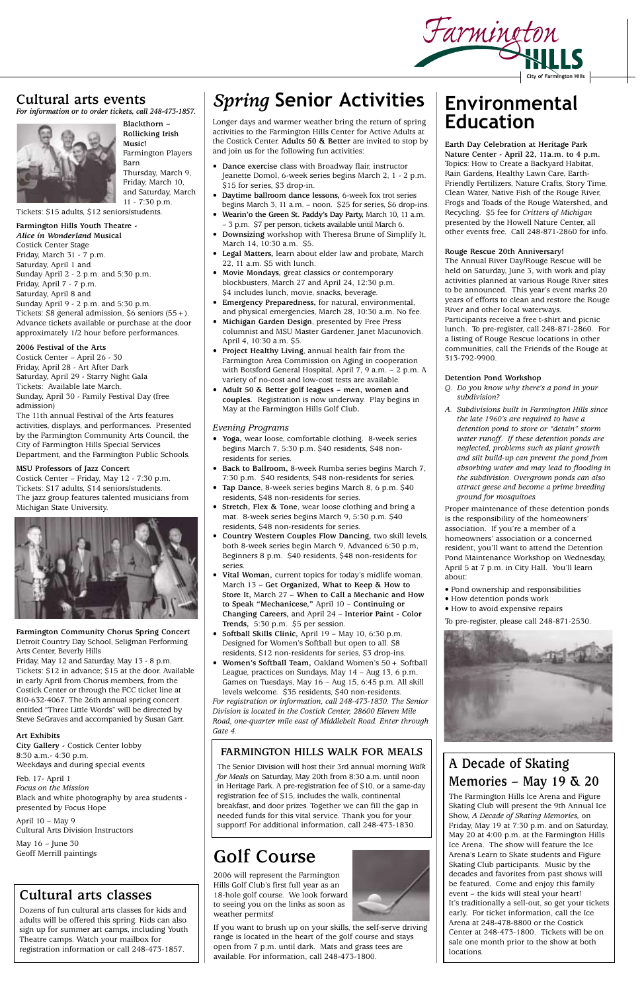## **Cultural arts events**

*For information or to order tickets, call 248-473-1857.*



**Blackthorn – Rollicking Irish Music!** Farmington Players Barn Thursday, March 9, Friday, March 10, and Saturday, March 11 - 7:30 p.m.

Tickets: \$15 adults, \$12 seniors/students.

### **Farmington Hills Youth Theatre -**  *Alice in Wonderland* **Musical**

Costick Center Stage Friday, March 31 - 7 p.m. Saturday, April 1 and Sunday April 2 - 2 p.m. and 5:30 p.m. Friday, April 7 - 7 p.m. Saturday, April 8 and Sunday April 9 - 2 p.m. and 5:30 p.m. Tickets:  $$8$  general admission,  $$6$  seniors  $(55+)$ . Advance tickets available or purchase at the door approximately 1/2 hour before performances.

### **2006 Festival of the Arts**

Costick Center – April 26 - 30 Friday, April 28 - Art After Dark Saturday, April 29 - Starry Night Gala Tickets: Available late March. Sunday, April 30 - Family Festival Day (free admission)

The 11th annual Festival of the Arts features activities, displays, and performances. Presented by the Farmington Community Arts Council, the City of Farmington Hills Special Services Department, and the Farmington Public Schools.

### **MSU Professors of Jazz Concert**

Costick Center – Friday, May 12 - 7:30 p.m. Tickets: \$17 adults, \$14 seniors/students. The jazz group features talented musicians from Michigan State University.



**Farmington Community Chorus Spring Concert** Detroit Country Day School, Seligman Performing Arts Center, Beverly Hills

Friday, May 12 and Saturday, May 13 - 8 p.m. Tickets: \$12 in advance; \$15 at the door. Available in early April from Chorus members, from the Costick Center or through the FCC ticket line at 810-632-4067. The 26th annual spring concert entitled "Three Little Words" will be directed by Steve SeGraves and accompanied by Susan Garr.

**Art Exhibits** 

**City Gallery -** Costick Center lobby 8:30 a.m.- 4:30 p.m. Weekdays and during special events

Feb. 17- April 1 *Focus on the Mission* Black and white photography by area students presented by Focus Hope

April 10 – May 9 Cultural Arts Division Instructors

May 16 – June 30 Geoff Merrill paintings **City of Farmington Hills**

# *Spring* **Senior Activities**

Longer days and warmer weather bring the return of spring activities to the Farmington Hills Center for Active Adults at the Costick Center. **Adults 50 & Better** are invited to stop by and join us for the following fun activities:

- **Dance exercise** class with Broadway flair, instructor Jeanette Domol, 6-week series begins March 2, 1 - 2 p.m. \$15 for series, \$3 drop-in.
- **Daytime ballroom dance lessons,** 6-week fox trot series begins March 3, 11 a.m. – noon. \$25 for series, \$6 drop-ins.
- **Wearin'o the Green St. Paddy's Day Party,** March 10, 11 a.m. – 3 p.m. \$7 per person, tickets available until March 6.
- **Downsizing** workshop with Theresa Brune of Simplify It, March 14, 10:30 a.m. \$5.
- **Legal Matters,** learn about elder law and probate, March 22, 11 a.m. \$5 with lunch.
- **Movie Mondays,** great classics or contemporary blockbusters, March 27 and April 24, 12:30 p.m. \$4 includes lunch, movie, snacks, beverage.
- **Emergency Preparedness,** for natural, environmental, and physical emergencies, March 28, 10:30 a.m. No fee.
- **Michigan Garden Design**, presented by Free Press columnist and MSU Master Gardener, Janet Macunovich. April 4, 10:30 a.m. \$5.
- **Project Healthy Living**, annual health fair from the Farmington Area Commission on Aging in cooperation with Botsford General Hospital, April 7, 9 a.m. – 2 p.m. A variety of no-cost and low-cost tests are available.
- **Adult 50 & Better golf leagues men, women and couples.** Registration is now underway. Play begins in May at the Farmington Hills Golf Club**.**

### *Evening Programs*

- **Yoga,** wear loose, comfortable clothing. 8-week series begins March 7, 5:30 p.m. \$40 residents, \$48 nonresidents for series.
- **Back to Ballroom,** 8-week Rumba series begins March 7, 7:30 p.m. \$40 residents, \$48 non-residents for series.
- **Tap Dance**, 8-week series begins March 8, 6 p.m. \$40 residents, \$48 non-residents for series.
- **Stretch, Flex & Tone**, wear loose clothing and bring a mat. 8-week series begins March 9, 5:30 p.m. \$40 residents, \$48 non-residents for series.
- **Country Western Couples Flow Dancing,** two skill levels, both 8-week series begin March 9, Advanced 6:30 p.m, Beginners 8 p.m. \$40 residents, \$48 non-residents for series.
- **Vital Woman,** current topics for today's midlife woman. March 13 – **Get Organized, What to Keep & How to Store It,** March 27 – **When to Call a Mechanic and How to Speak "Mechanicese,"** April 10 – **Continuing or Changing Careers,** and April 24 – **Interior Paint - Color Trends,** 5:30 p.m. \$5 per session.
- **Softball Skills Clinic,** April 19 May 10, 6:30 p.m. Designed for Women's Softball but open to all. \$8 residents, \$12 non-residents for series, \$3 drop-ins.
- **Women's Softball Team,** Oakland Women's 50+ Softball League, practices on Sundays, May 14 – Aug 13, 6 p.m. Games on Tuesdays, May 16 – Aug 15, 6:45 p.m. All skill levels welcome. \$35 residents, \$40 non-residents. *For registration or information, call 248-473-1830. The Senior Division is located in the Costick Center, 28600 Eleven Mile Road, one-quarter mile east of Middlebelt Road. Enter through*

*Gate 4.*

# **A Decade of Skating Memories – May 19 & 20**

The Farmington Hills Ice Arena and Figure Skating Club will present the 9th Annual Ice Show, *A Decade of Skating Memories,* on Friday, May 19 at 7:30 p.m. and on Saturday, May 20 at 4:00 p.m. at the Farmington Hills Ice Arena. The show will feature the Ice Arena's Learn to Skate students and Figure Skating Club participants. Music by the decades and favorites from past shows will be featured. Come and enjoy this family event – the kids will steal your heart! It's traditionally a sell-out, so get your tickets early. For ticket information, call the Ice Arena at 248-478-8800 or the Costick Center at 248-473-1800. Tickets will be on sale one month prior to the show at both locations.

### **FARMINGTON HILLS WALK FOR MEALS**

The Senior Division will host their 3rd annual morning *Walk for Meals* on Saturday, May 20th from 8:30 a.m. until noon in Heritage Park. A pre-registration fee of \$10, or a same-day registration fee of \$15, includes the walk, continental breakfast, and door prizes. Together we can fill the gap in needed funds for this vital service. Thank you for your support! For additional information, call 248-473-1830.

# **Environmental Education**

Farmington

**Earth Day Celebration at Heritage Park Nature Center - April 22, 11a.m. to 4 p.m.**  Topics: How to Create a Backyard Habitat, Rain Gardens, Healthy Lawn Care, Earth-Friendly Fertilizers, Nature Crafts, Story Time, Clean Water, Native Fish of the Rouge River, Frogs and Toads of the Rouge Watershed, and Recycling. \$5 fee for *Critters of Michigan* presented by the Howell Nature Center, all other events free. Call 248-871-2860 for info.

### **Rouge Rescue 20th Anniversary!**

The Annual River Day/Rouge Rescue will be held on Saturday, June 3, with work and play activities planned at various Rouge River sites to be announced. This year's event marks 20 years of efforts to clean and restore the Rouge River and other local waterways. Participants receive a free t-shirt and picnic lunch. To pre-register, call 248-871-2860. For a listing of Rouge Rescue locations in other communities, call the Friends of the Rouge at 313-792-9900.

### **Detention Pond Workshop**

- *Q. Do you know why there's a pond in your subdivision?*
- *A. Subdivisions built in Farmington Hills since the late 1960's are required to have a detention pond to store or "detain" storm water runoff. If these detention ponds are neglected, problems such as plant growth and silt build-up can prevent the pond from absorbing water and may lead to flooding in the subdivision. Overgrown ponds can also attract geese and become a prime breeding ground for mosquitoes.*
- Proper maintenance of these detention ponds is the responsibility of the homeowners' association. If you're a member of a homeowners' association or a concerned resident, you'll want to attend the Detention Pond Maintenance Workshop on Wednesday, April 5 at 7 p.m. in City Hall. You'll learn about:
- Pond ownership and responsibilities
- How detention ponds work
- How to avoid expensive repairs

To pre-register, please call 248-871-2530.



# **Golf Course**

2006 will represent the Farmington Hills Golf Club's first full year as an 18-hole golf course. We look forward to seeing you on the links as soon as weather permits!

If you want to brush up on your skills, the self-serve driving range is located in the heart of the golf course and stays open from 7 p.m. until dark. Mats and grass tees are available. For information, call 248-473-1800.



# **Cultural arts classes**

Dozens of fun cultural arts classes for kids and adults will be offered this spring. Kids can also sign up for summer art camps, including Youth Theatre camps. Watch your mailbox for registration information or call 248-473-1857.